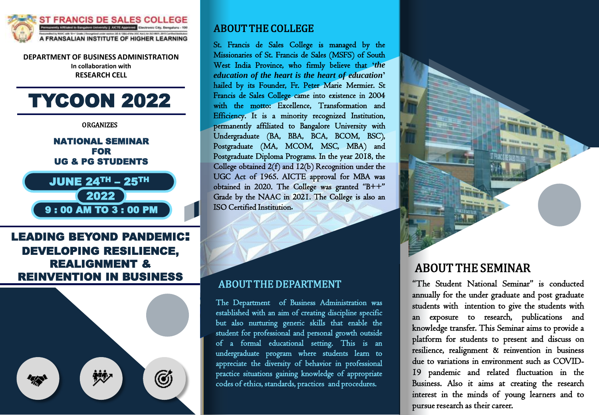

**DEPARTMENT OF BUSINESS ADMINISTRATION In collaboration with RESEARCH CELL**

# TYCOON 2022

**ORGANIZES** 

NATIONAL SEMINAR FOR UG & PG STUDENTS

JUNE 24TH – 25TH

2022

9 : 00 AM TO 3 : 00 PM

# LEADING BEYOND PANDEMIC: DEVELOPING RESILIENCE, REALIGNMENT & REINVENTION IN BUSINESS



## ABOUT THE COLLEGE

St. Francis de Sales College is managed by the Missionaries of St. Francis de Sales (MSFS) of South West India Province, who firmly believe that **'***the education of the heart is the heart of education***'** hailed by its Founder, Fr. Peter Marie Mermier. St Francis de Sales College came into existence in 2004 with the motto: Excellence, Transformation and Efficiency. It is a minority recognized Institution, permanently affiliated to Bangalore University with Undergraduate (BA, BBA, BCA, BCOM, BSC), Postgraduate (MA, MCOM, MSC, MBA) and Postgraduate Diploma Programs. In the year 2018, the College obtained 2(f) and 12(b) Recognition under the UGC Act of 1965. AICTE approval for MBA was obtained in 2020. The College was granted "B++" Grade by the NAAC in 2021. The College is also an ISO Certified Institution**.**

# ABOUT THE DEPARTMENT

The Department of Business Administration was established with an aim of creating discipline specific but also nurturing generic skills that enable the student for professional and personal growth outside of a formal educational setting. This is an undergraduate program where students learn to appreciate the diversity of behavior in professional practice situations gaining knowledge of appropriate codes of ethics, standards, practices and procedures.

# ABOUT THE SEMINAR

"The Student National Seminar" is conducted annually for the under graduate and post graduate students with intention to give the students with an exposure to research, publications and knowledge transfer. This Seminar aims to provide a platform for students to present and discuss on resilience, realignment & reinvention in business due to variations in environment such as COVID-19 pandemic and related fluctuation in the Business. Also it aims at creating the research interest in the minds of young learners and to pursue research as their career.